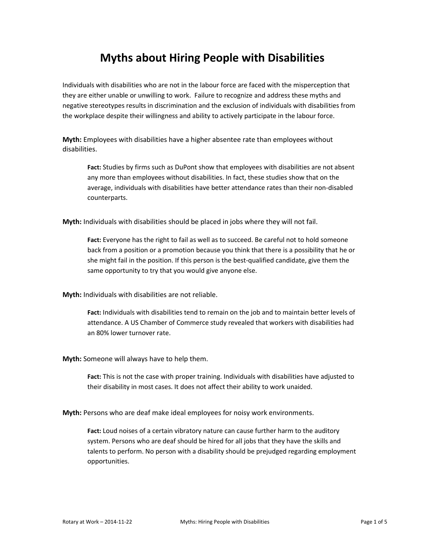## **Myths about Hiring People with Disabilities**

Individuals with disabilities who are not in the labour force are faced with the misperception that they are either unable or unwilling to work. Failure to recognize and address these myths and negative stereotypes results in discrimination and the exclusion of individuals with disabilities from the workplace despite their willingness and ability to actively participate in the labour force.

**Myth:** Employees with disabilities have a higher absentee rate than employees without disabilities.

**Fact:** Studies by firms such as DuPont show that employees with disabilities are not absent any more than employees without disabilities. In fact, these studies show that on the average, individuals with disabilities have better attendance rates than their non-disabled counterparts.

**Myth:** Individuals with disabilities should be placed in jobs where they will not fail.

**Fact:** Everyone has the right to fail as well as to succeed. Be careful not to hold someone back from a position or a promotion because you think that there is a possibility that he or she might fail in the position. If this person is the best-qualified candidate, give them the same opportunity to try that you would give anyone else.

**Myth:** Individuals with disabilities are not reliable.

**Fact:** Individuals with disabilities tend to remain on the job and to maintain better levels of attendance. A US Chamber of Commerce study revealed that workers with disabilities had an 80% lower turnover rate.

**Myth:** Someone will always have to help them.

**Fact:** This is not the case with proper training. Individuals with disabilities have adjusted to their disability in most cases. It does not affect their ability to work unaided.

**Myth:** Persons who are deaf make ideal employees for noisy work environments.

**Fact:** Loud noises of a certain vibratory nature can cause further harm to the auditory system. Persons who are deaf should be hired for all jobs that they have the skills and talents to perform. No person with a disability should be prejudged regarding employment opportunities.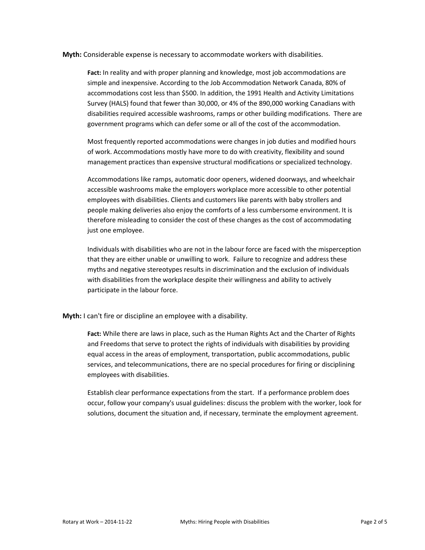**Myth:** Considerable expense is necessary to accommodate workers with disabilities.

**Fact:** In reality and with proper planning and knowledge, most job accommodations are simple and inexpensive. According to the Job Accommodation Network Canada, 80% of accommodations cost less than \$500. In addition, the 1991 Health and Activity Limitations Survey (HALS) found that fewer than 30,000, or 4% of the 890,000 working Canadians with disabilities required accessible washrooms, ramps or other building modifications. There are government programs which can defer some or all of the cost of the accommodation.

Most frequently reported accommodations were changes in job duties and modified hours of work. Accommodations mostly have more to do with creativity, flexibility and sound management practices than expensive structural modifications or specialized technology.

Accommodations like ramps, automatic door openers, widened doorways, and wheelchair accessible washrooms make the employers workplace more accessible to other potential employees with disabilities. Clients and customers like parents with baby strollers and people making deliveries also enjoy the comforts of a less cumbersome environment. It is therefore misleading to consider the cost of these changes as the cost of accommodating just one employee.

Individuals with disabilities who are not in the labour force are faced with the misperception that they are either unable or unwilling to work. Failure to recognize and address these myths and negative stereotypes results in discrimination and the exclusion of individuals with disabilities from the workplace despite their willingness and ability to actively participate in the labour force.

**Myth:** I can't fire or discipline an employee with a disability.

**Fact:** While there are laws in place, such as the Human Rights Act and the Charter of Rights and Freedoms that serve to protect the rights of individuals with disabilities by providing equal access in the areas of employment, transportation, public accommodations, public services, and telecommunications, there are no special procedures for firing or disciplining employees with disabilities.

Establish clear performance expectations from the start. If a performance problem does occur, follow your company's usual guidelines: discuss the problem with the worker, look for solutions, document the situation and, if necessary, terminate the employment agreement.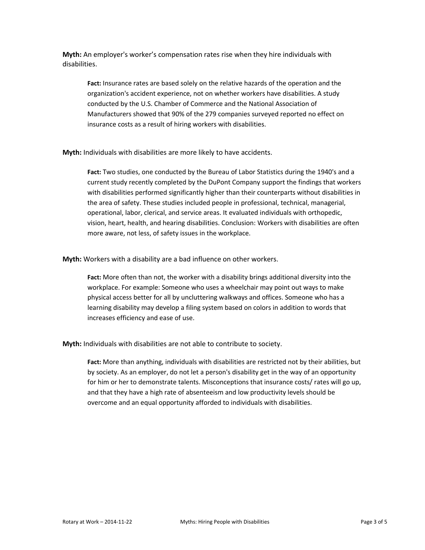**Myth:** An employer's worker's compensation rates rise when they hire individuals with disabilities.

**Fact:** Insurance rates are based solely on the relative hazards of the operation and the organization's accident experience, not on whether workers have disabilities. A study conducted by the U.S. Chamber of Commerce and the National Association of Manufacturers showed that 90% of the 279 companies surveyed reported no effect on insurance costs as a result of hiring workers with disabilities.

**Myth:** Individuals with disabilities are more likely to have accidents.

**Fact:** Two studies, one conducted by the Bureau of Labor Statistics during the 1940's and a current study recently completed by the DuPont Company support the findings that workers with disabilities performed significantly higher than their counterparts without disabilities in the area of safety. These studies included people in professional, technical, managerial, operational, labor, clerical, and service areas. It evaluated individuals with orthopedic, vision, heart, health, and hearing disabilities. Conclusion: Workers with disabilities are often more aware, not less, of safety issues in the workplace.

**Myth:** Workers with a disability are a bad influence on other workers.

**Fact:** More often than not, the worker with a disability brings additional diversity into the workplace. For example: Someone who uses a wheelchair may point out ways to make physical access better for all by uncluttering walkways and offices. Someone who has a learning disability may develop a filing system based on colors in addition to words that increases efficiency and ease of use.

**Myth:** Individuals with disabilities are not able to contribute to society.

**Fact:** More than anything, individuals with disabilities are restricted not by their abilities, but by society. As an employer, do not let a person's disability get in the way of an opportunity for him or her to demonstrate talents. Misconceptions that insurance costs/ rates will go up, and that they have a high rate of absenteeism and low productivity levels should be overcome and an equal opportunity afforded to individuals with disabilities.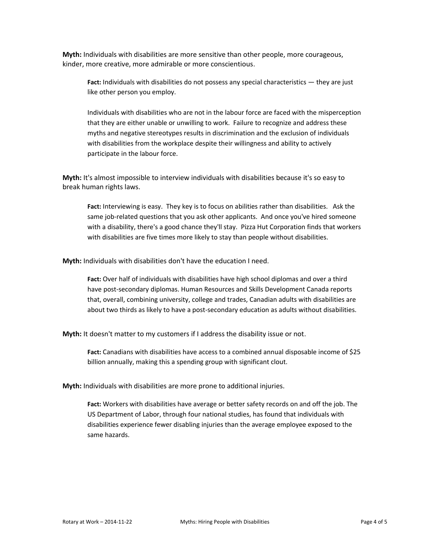**Myth:** Individuals with disabilities are more sensitive than other people, more courageous, kinder, more creative, more admirable or more conscientious.

**Fact:** Individuals with disabilities do not possess any special characteristics — they are just like other person you employ.

Individuals with disabilities who are not in the labour force are faced with the misperception that they are either unable or unwilling to work. Failure to recognize and address these myths and negative stereotypes results in discrimination and the exclusion of individuals with disabilities from the workplace despite their willingness and ability to actively participate in the labour force.

**Myth:** It's almost impossible to interview individuals with disabilities because it's so easy to break human rights laws.

**Fact:** Interviewing is easy. They key is to focus on abilities rather than disabilities. Ask the same job-related questions that you ask other applicants. And once you've hired someone with a disability, there's a good chance they'll stay. Pizza Hut Corporation finds that workers with disabilities are five times more likely to stay than people without disabilities.

**Myth:** Individuals with disabilities don't have the education I need.

**Fact:** Over half of individuals with disabilities have high school diplomas and over a third have post-secondary diplomas. Human Resources and Skills Development Canada reports that, overall, combining university, college and trades, Canadian adults with disabilities are about two thirds as likely to have a post-secondary education as adults without disabilities.

**Myth:** It doesn't matter to my customers if I address the disability issue or not.

**Fact:** Canadians with disabilities have access to a combined annual disposable income of \$25 billion annually, making this a spending group with significant clout.

**Myth:** Individuals with disabilities are more prone to additional injuries.

**Fact:** Workers with disabilities have average or better safety records on and off the job. The US Department of Labor, through four national studies, has found that individuals with disabilities experience fewer disabling injuries than the average employee exposed to the same hazards.